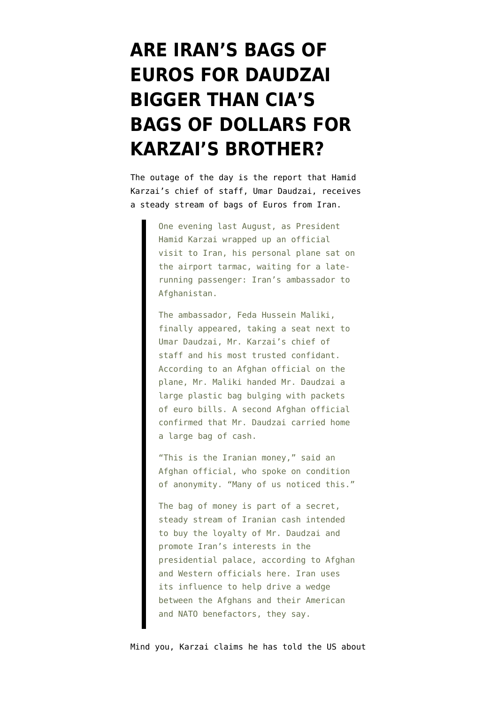## **[ARE IRAN'S BAGS OF](https://www.emptywheel.net/2010/10/25/are-irans-bags-of-euros-for-daudzai-bigger-than-cias-bags-of-dollars-for-karzais-brother/) [EUROS FOR DAUDZAI](https://www.emptywheel.net/2010/10/25/are-irans-bags-of-euros-for-daudzai-bigger-than-cias-bags-of-dollars-for-karzais-brother/) [BIGGER THAN CIA'S](https://www.emptywheel.net/2010/10/25/are-irans-bags-of-euros-for-daudzai-bigger-than-cias-bags-of-dollars-for-karzais-brother/) [BAGS OF DOLLARS FOR](https://www.emptywheel.net/2010/10/25/are-irans-bags-of-euros-for-daudzai-bigger-than-cias-bags-of-dollars-for-karzais-brother/) [KARZAI'S BROTHER?](https://www.emptywheel.net/2010/10/25/are-irans-bags-of-euros-for-daudzai-bigger-than-cias-bags-of-dollars-for-karzais-brother/)**

The outage of the day is the [report](http://www.nytimes.com/2010/10/24/world/asia/24afghan.html?_r=1) that Hamid Karzai's chief of staff, Umar Daudzai, receives a steady stream of bags of Euros from Iran.

> One evening last August, as President Hamid Karzai wrapped up an official visit to Iran, his personal plane sat on the airport tarmac, waiting for a laterunning passenger: Iran's ambassador to Afghanistan.

The ambassador, Feda Hussein Maliki, finally appeared, taking a seat next to Umar Daudzai, Mr. Karzai's chief of staff and his most trusted confidant. According to an Afghan official on the plane, Mr. Maliki handed Mr. Daudzai a large plastic bag bulging with packets of euro bills. A second Afghan official confirmed that Mr. Daudzai carried home a large bag of cash.

"This is the Iranian money," said an Afghan official, who spoke on condition of anonymity. "Many of us noticed this."

The bag of money is part of a secret, steady stream of Iranian cash intended to buy the loyalty of Mr. Daudzai and promote Iran's interests in the presidential palace, according to Afghan and Western officials here. Iran uses its influence to help drive a wedge between the Afghans and their American and NATO benefactors, they say.

Mind you, Karzai [claims](http://www.bbc.co.uk/news/world-south-asia-11618969) he has told the US about